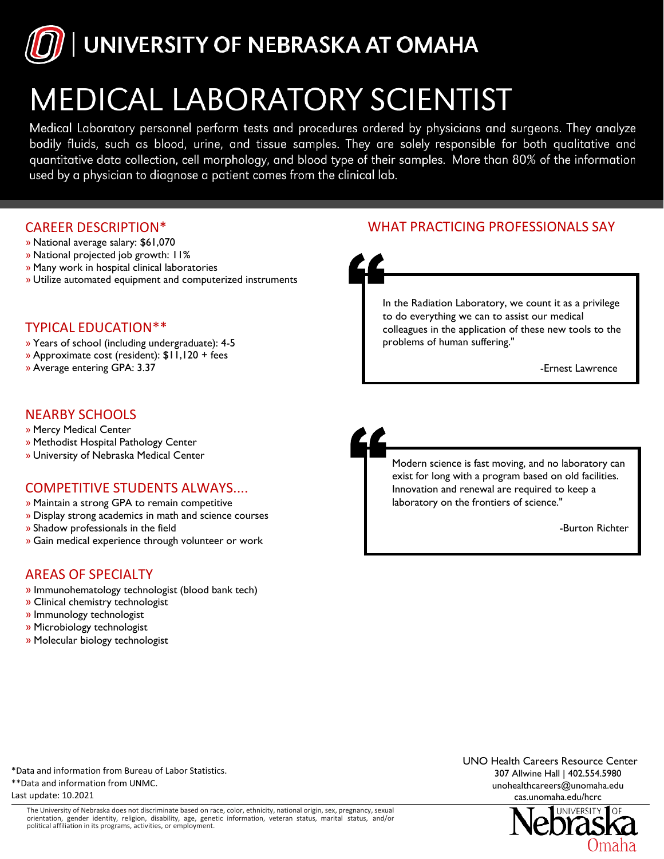

# **MEDICAL LABORATORY SCIENTIST**

Medical Laboratory personnel perform tests and procedures ordered by physicians and surgeons. They analyze bodily fluids, such as blood, urine, and tissue samples. They are solely responsible for both qualitative and quantitative data collection, cell morphology, and blood type of their samples. More than 80% of the information used by a physician to diagnose a patient comes from the clinical lab.

## CAREER DESCRIPTION\*

- » National average salary: \$61,070
- » National projected job growth: 11%
- » Many work in hospital clinical laboratories
- » Utilize automated equipment and computerized instruments

#### TYPICAL EDUCATION\*\*

- » Years of school (including undergraduate): 4-5
- » Approximate cost (resident): \$11,120 + fees
- » Average entering GPA: 3.37

## NEARBY SCHOOLS

- » Mercy Medical Center
- » Methodist Hospital Pathology Center
- » University of Nebraska Medical Center

## COMPETITIVE STUDENTS ALWAYS....

- » Maintain a strong GPA to remain competitive
- » Display strong academics in math and science courses
- » Shadow professionals in the field
- » Gain medical experience through volunteer or work

#### AREAS OF SPECIALTY

- » Immunohematology technologist (blood bank tech)
- » Clinical chemistry technologist
- » Immunology technologist
- » Microbiology technologist
- » Molecular biology technologist





In the Radiation Laboratory, we count it as a privilege to do everything we can to assist our medical colleagues in the application of these new tools to the problems of human suffering."

-Ernest Lawrence



-Burton Richter

\*Data and information from Bureau of Labor Statistics. \*\*Data and information from UNMC. Last update: 10.2021

The University of Nebraska does not discriminate based on race, color, ethnicity, national origin, sex, pregnancy, sexual orientation, gender identity, religion, disability, age, genetic information, veteran status, marital status, and/or political affiliation in its programs, activities, or employment.

UNO Health Careers Resource Center 307 Allwine Hall | 402.554.5980 unohealthcareers@unomaha.edu cas.unomaha.edu/hcrc